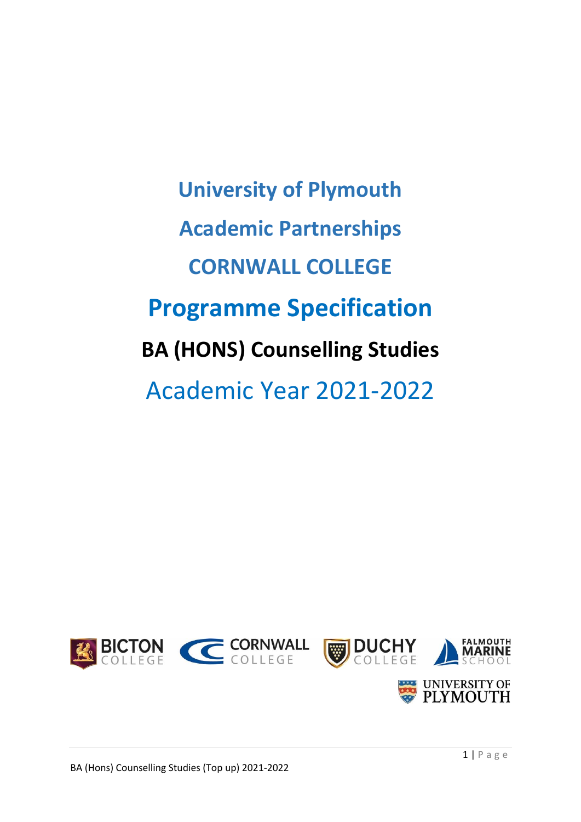**University of Plymouth Academic Partnerships CORNWALL COLLEGE Programme Specification BA (HONS) Counselling Studies** Academic Year 2021-2022

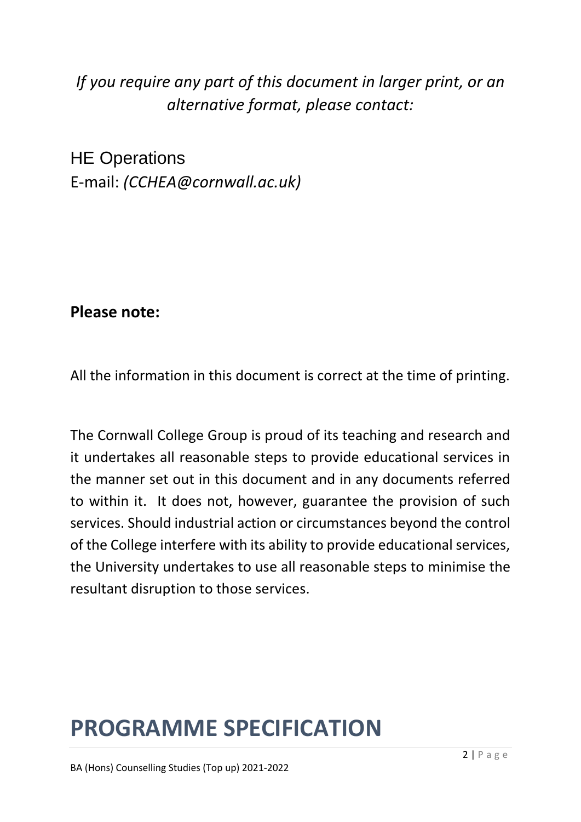# *If you require any part of this document in larger print, or an alternative format, please contact:*

HE Operations E-mail: *(CCHEA@cornwall.ac.uk)*

# **Please note:**

All the information in this document is correct at the time of printing.

The Cornwall College Group is proud of its teaching and research and it undertakes all reasonable steps to provide educational services in the manner set out in this document and in any documents referred to within it. It does not, however, guarantee the provision of such services. Should industrial action or circumstances beyond the control of the College interfere with its ability to provide educational services, the University undertakes to use all reasonable steps to minimise the resultant disruption to those services.

# **PROGRAMME SPECIFICATION**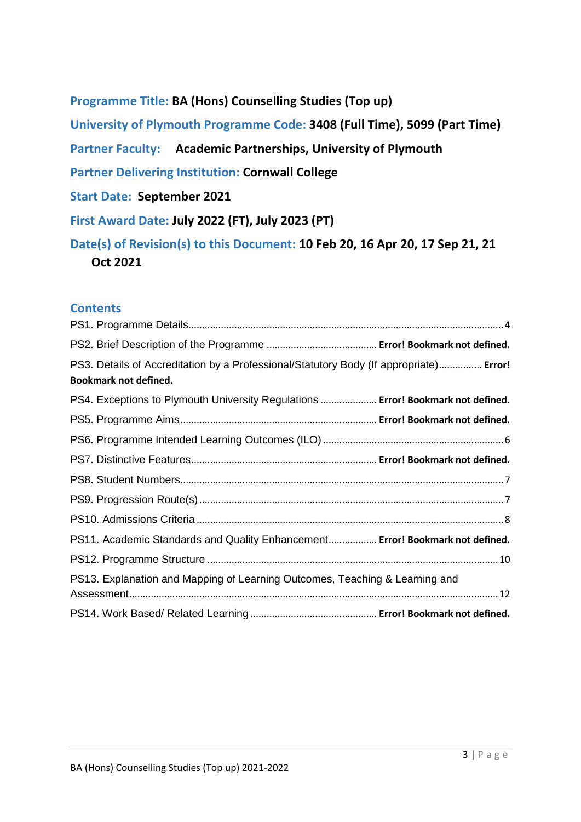**Programme Title: BA (Hons) Counselling Studies (Top up)**

**University of Plymouth Programme Code: 3408 (Full Time), 5099 (Part Time)**

**Partner Faculty: Academic Partnerships, University of Plymouth**

**Partner Delivering Institution: Cornwall College**

**Start Date: September 2021**

**First Award Date: July 2022 (FT), July 2023 (PT)**

**Date(s) of Revision(s) to this Document: 10 Feb 20, 16 Apr 20, 17 Sep 21, 21 Oct 2021**

#### **Contents**

| PS3. Details of Accreditation by a Professional/Statutory Body (If appropriate) Error!<br><b>Bookmark not defined.</b> |  |
|------------------------------------------------------------------------------------------------------------------------|--|
| PS4. Exceptions to Plymouth University Regulations  Error! Bookmark not defined.                                       |  |
|                                                                                                                        |  |
|                                                                                                                        |  |
|                                                                                                                        |  |
|                                                                                                                        |  |
|                                                                                                                        |  |
|                                                                                                                        |  |
| PS11. Academic Standards and Quality Enhancement Error! Bookmark not defined.                                          |  |
|                                                                                                                        |  |
| PS13. Explanation and Mapping of Learning Outcomes, Teaching & Learning and                                            |  |
|                                                                                                                        |  |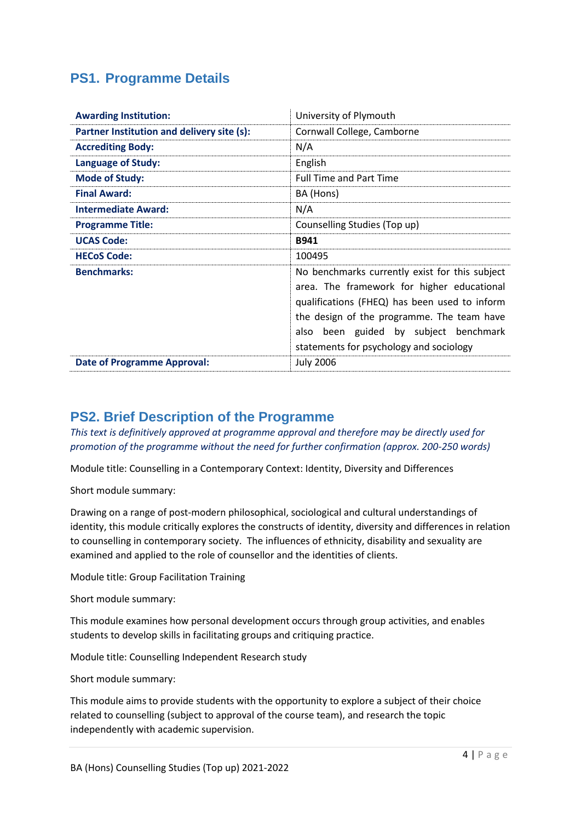#### **PS1. Programme Details**

| <b>Awarding Institution:</b>               | University of Plymouth                                                                                                                                                                                                                                                          |  |  |  |  |
|--------------------------------------------|---------------------------------------------------------------------------------------------------------------------------------------------------------------------------------------------------------------------------------------------------------------------------------|--|--|--|--|
| Partner Institution and delivery site (s): | Cornwall College, Camborne                                                                                                                                                                                                                                                      |  |  |  |  |
| <b>Accrediting Body:</b>                   | N/A                                                                                                                                                                                                                                                                             |  |  |  |  |
| <b>Language of Study:</b>                  | English                                                                                                                                                                                                                                                                         |  |  |  |  |
| <b>Mode of Study:</b>                      | <b>Full Time and Part Time</b>                                                                                                                                                                                                                                                  |  |  |  |  |
| <b>Final Award:</b>                        | BA (Hons)                                                                                                                                                                                                                                                                       |  |  |  |  |
| <b>Intermediate Award:</b>                 | N/A                                                                                                                                                                                                                                                                             |  |  |  |  |
| <b>Programme Title:</b>                    | Counselling Studies (Top up)                                                                                                                                                                                                                                                    |  |  |  |  |
| <b>UCAS Code:</b>                          | <b>B941</b>                                                                                                                                                                                                                                                                     |  |  |  |  |
| <b>HECoS Code:</b>                         | 100495                                                                                                                                                                                                                                                                          |  |  |  |  |
| <b>Benchmarks:</b>                         | No benchmarks currently exist for this subject<br>area. The framework for higher educational<br>qualifications (FHEQ) has been used to inform<br>the design of the programme. The team have<br>also been guided by subject benchmark<br>statements for psychology and sociology |  |  |  |  |
| <b>Date of Programme Approval:</b>         | <b>July 2006</b>                                                                                                                                                                                                                                                                |  |  |  |  |

#### **PS2. Brief Description of the Programme**

*This text is definitively approved at programme approval and therefore may be directly used for promotion of the programme without the need for further confirmation (approx. 200-250 words)*

Module title: Counselling in a Contemporary Context: Identity, Diversity and Differences

Short module summary:

Drawing on a range of post-modern philosophical, sociological and cultural understandings of identity, this module critically explores the constructs of identity, diversity and differences in relation to counselling in contemporary society. The influences of ethnicity, disability and sexuality are examined and applied to the role of counsellor and the identities of clients.

Module title: Group Facilitation Training

Short module summary:

This module examines how personal development occurs through group activities, and enables students to develop skills in facilitating groups and critiquing practice.

Module title: Counselling Independent Research study

Short module summary:

This module aims to provide students with the opportunity to explore a subject of their choice related to counselling (subject to approval of the course team), and research the topic independently with academic supervision.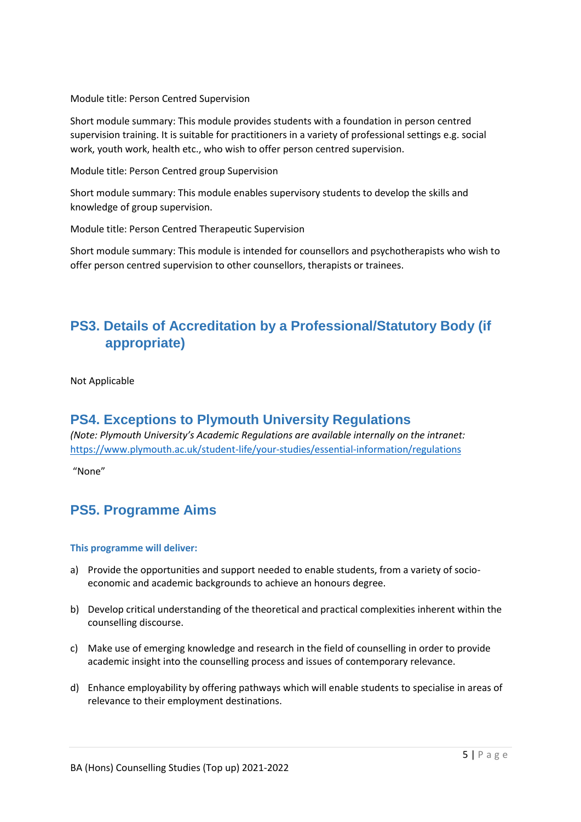Module title: Person Centred Supervision

Short module summary: This module provides students with a foundation in person centred supervision training. It is suitable for practitioners in a variety of professional settings e.g. social work, youth work, health etc., who wish to offer person centred supervision.

Module title: Person Centred group Supervision

Short module summary: This module enables supervisory students to develop the skills and knowledge of group supervision.

Module title: Person Centred Therapeutic Supervision

Short module summary: This module is intended for counsellors and psychotherapists who wish to offer person centred supervision to other counsellors, therapists or trainees.

## **PS3. Details of Accreditation by a Professional/Statutory Body (if appropriate)**

Not Applicable

#### **PS4. Exceptions to Plymouth University Regulations**

*(Note: Plymouth University's Academic Regulations are available internally on the intranet:*  <https://www.plymouth.ac.uk/student-life/your-studies/essential-information/regulations>

"None"

#### **PS5. Programme Aims**

#### **This programme will deliver:**

- a) Provide the opportunities and support needed to enable students, from a variety of socioeconomic and academic backgrounds to achieve an honours degree.
- b) Develop critical understanding of the theoretical and practical complexities inherent within the counselling discourse.
- c) Make use of emerging knowledge and research in the field of counselling in order to provide academic insight into the counselling process and issues of contemporary relevance.
- d) Enhance employability by offering pathways which will enable students to specialise in areas of relevance to their employment destinations.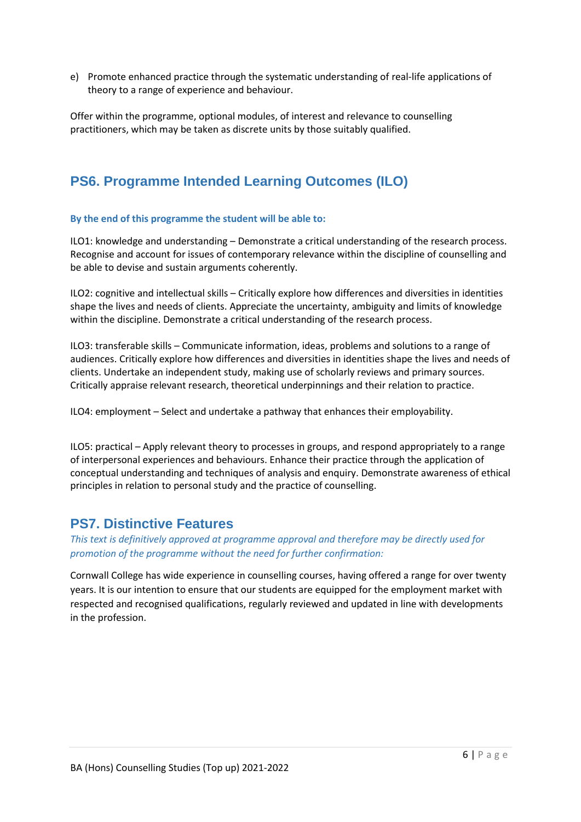e) Promote enhanced practice through the systematic understanding of real-life applications of theory to a range of experience and behaviour.

Offer within the programme, optional modules, of interest and relevance to counselling practitioners, which may be taken as discrete units by those suitably qualified.

## **PS6. Programme Intended Learning Outcomes (ILO)**

#### **By the end of this programme the student will be able to:**

ILO1: knowledge and understanding – Demonstrate a critical understanding of the research process. Recognise and account for issues of contemporary relevance within the discipline of counselling and be able to devise and sustain arguments coherently.

ILO2: cognitive and intellectual skills – Critically explore how differences and diversities in identities shape the lives and needs of clients. Appreciate the uncertainty, ambiguity and limits of knowledge within the discipline. Demonstrate a critical understanding of the research process.

ILO3: transferable skills – Communicate information, ideas, problems and solutions to a range of audiences. Critically explore how differences and diversities in identities shape the lives and needs of clients. Undertake an independent study, making use of scholarly reviews and primary sources. Critically appraise relevant research, theoretical underpinnings and their relation to practice.

ILO4: employment – Select and undertake a pathway that enhances their employability.

ILO5: practical – Apply relevant theory to processes in groups, and respond appropriately to a range of interpersonal experiences and behaviours. Enhance their practice through the application of conceptual understanding and techniques of analysis and enquiry. Demonstrate awareness of ethical principles in relation to personal study and the practice of counselling.

#### **PS7. Distinctive Features**

*This text is definitively approved at programme approval and therefore may be directly used for promotion of the programme without the need for further confirmation:*

Cornwall College has wide experience in counselling courses, having offered a range for over twenty years. It is our intention to ensure that our students are equipped for the employment market with respected and recognised qualifications, regularly reviewed and updated in line with developments in the profession.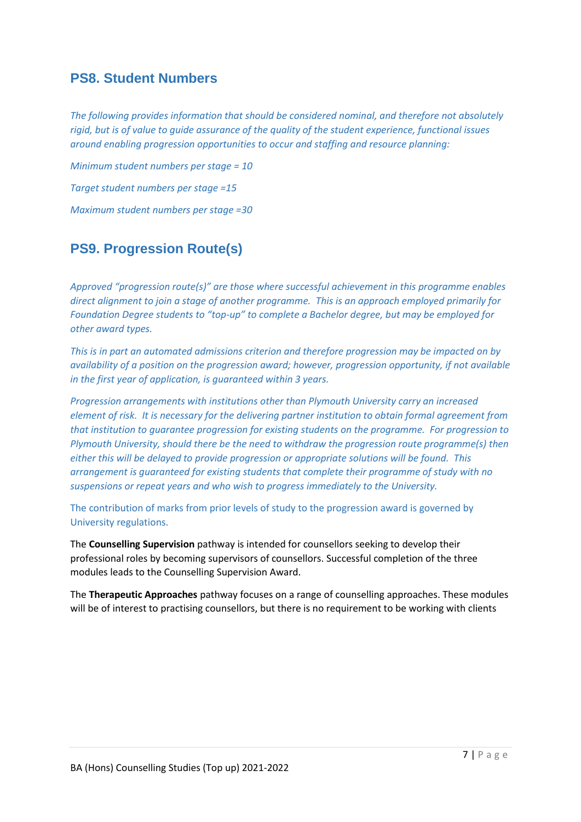#### **PS8. Student Numbers**

*The following provides information that should be considered nominal, and therefore not absolutely rigid, but is of value to guide assurance of the quality of the student experience, functional issues around enabling progression opportunities to occur and staffing and resource planning:*

*Minimum student numbers per stage = 10 Target student numbers per stage =15 Maximum student numbers per stage =30*

## **PS9. Progression Route(s)**

*Approved "progression route(s)" are those where successful achievement in this programme enables direct alignment to join a stage of another programme. This is an approach employed primarily for Foundation Degree students to "top-up" to complete a Bachelor degree, but may be employed for other award types.*

*This is in part an automated admissions criterion and therefore progression may be impacted on by availability of a position on the progression award; however, progression opportunity, if not available in the first year of application, is guaranteed within 3 years.*

*Progression arrangements with institutions other than Plymouth University carry an increased element of risk. It is necessary for the delivering partner institution to obtain formal agreement from that institution to guarantee progression for existing students on the programme. For progression to Plymouth University, should there be the need to withdraw the progression route programme(s) then either this will be delayed to provide progression or appropriate solutions will be found. This arrangement is guaranteed for existing students that complete their programme of study with no suspensions or repeat years and who wish to progress immediately to the University.* 

The contribution of marks from prior levels of study to the progression award is governed by University regulations.

The **Counselling Supervision** pathway is intended for counsellors seeking to develop their professional roles by becoming supervisors of counsellors. Successful completion of the three modules leads to the Counselling Supervision Award.

The **Therapeutic Approaches** pathway focuses on a range of counselling approaches. These modules will be of interest to practising counsellors, but there is no requirement to be working with clients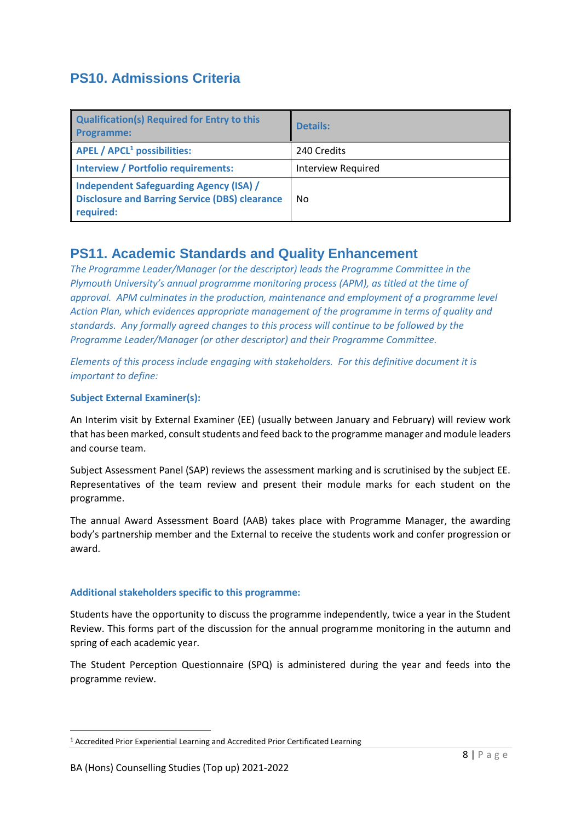## **PS10. Admissions Criteria**

| <b>Qualification(s) Required for Entry to this</b><br><b>Programme:</b>                                              | <b>Details:</b>           |
|----------------------------------------------------------------------------------------------------------------------|---------------------------|
| $APEL / APCL1 possibilities:$                                                                                        | 240 Credits               |
| <b>Interview / Portfolio requirements:</b>                                                                           | <b>Interview Required</b> |
| <b>Independent Safeguarding Agency (ISA) /</b><br><b>Disclosure and Barring Service (DBS) clearance</b><br>required: | No.                       |

#### **PS11. Academic Standards and Quality Enhancement**

*The Programme Leader/Manager (or the descriptor) leads the Programme Committee in the Plymouth University's annual programme monitoring process (APM), as titled at the time of approval. APM culminates in the production, maintenance and employment of a programme level Action Plan, which evidences appropriate management of the programme in terms of quality and standards. Any formally agreed changes to this process will continue to be followed by the Programme Leader/Manager (or other descriptor) and their Programme Committee.* 

*Elements of this process include engaging with stakeholders. For this definitive document it is important to define:*

#### **Subject External Examiner(s):**

An Interim visit by External Examiner (EE) (usually between January and February) will review work that has been marked, consult students and feed back to the programme manager and module leaders and course team.

Subject Assessment Panel (SAP) reviews the assessment marking and is scrutinised by the subject EE. Representatives of the team review and present their module marks for each student on the programme.

The annual Award Assessment Board (AAB) takes place with Programme Manager, the awarding body's partnership member and the External to receive the students work and confer progression or award.

#### **Additional stakeholders specific to this programme:**

Students have the opportunity to discuss the programme independently, twice a year in the Student Review. This forms part of the discussion for the annual programme monitoring in the autumn and spring of each academic year.

The Student Perception Questionnaire (SPQ) is administered during the year and feeds into the programme review.

 $\overline{\phantom{a}}$ 

<sup>1</sup> Accredited Prior Experiential Learning and Accredited Prior Certificated Learning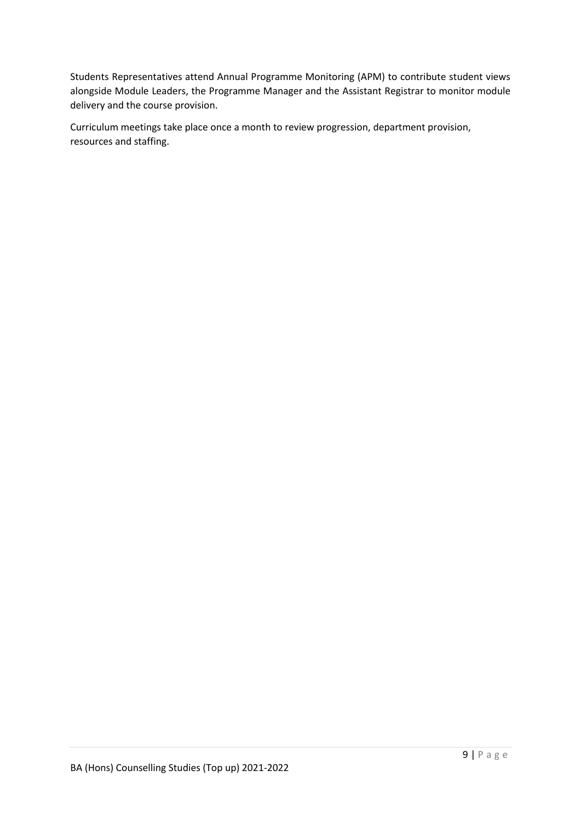Students Representatives attend Annual Programme Monitoring (APM) to contribute student views alongside Module Leaders, the Programme Manager and the Assistant Registrar to monitor module delivery and the course provision.

Curriculum meetings take place once a month to review progression, department provision, resources and staffing.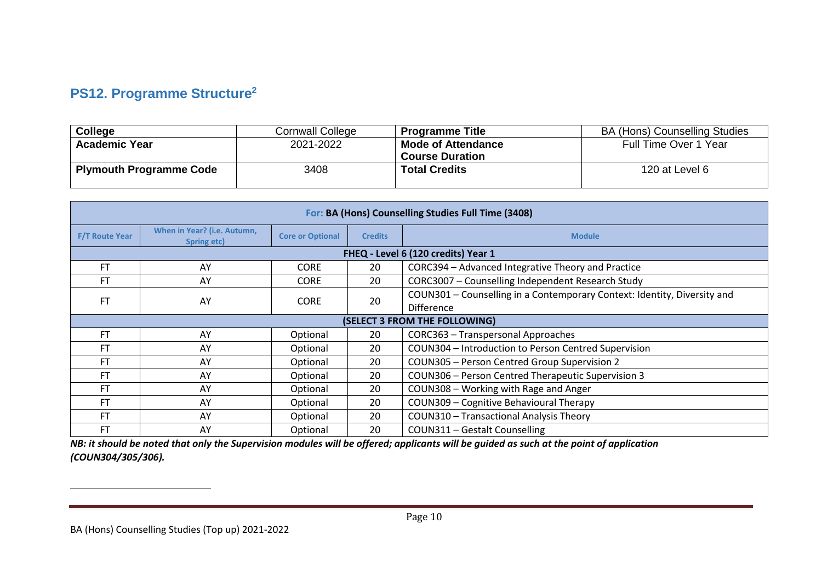# **PS12. Programme Structure<sup>2</sup>**

| <b>College</b>                 | Cornwall College | <b>Programme Title</b>    | <b>BA (Hons) Counselling Studies</b> |
|--------------------------------|------------------|---------------------------|--------------------------------------|
| <b>Academic Year</b>           | 2021-2022        | <b>Mode of Attendance</b> | Full Time Over 1 Year                |
|                                |                  | <b>Course Duration</b>    |                                      |
| <b>Plymouth Programme Code</b> | 3408             | <b>Total Credits</b>      | 120 at Level 6                       |
|                                |                  |                           |                                      |

| For: BA (Hons) Counselling Studies Full Time (3408) |                                            |                                                                                               |                |                                                      |  |  |  |  |  |  |
|-----------------------------------------------------|--------------------------------------------|-----------------------------------------------------------------------------------------------|----------------|------------------------------------------------------|--|--|--|--|--|--|
| <b>F/T Route Year</b>                               | When in Year? (i.e. Autumn,<br>Spring etc) | <b>Core or Optional</b>                                                                       | <b>Credits</b> | <b>Module</b>                                        |  |  |  |  |  |  |
|                                                     | FHEQ - Level 6 (120 credits) Year 1        |                                                                                               |                |                                                      |  |  |  |  |  |  |
| <b>FT</b>                                           | AY                                         | <b>CORE</b>                                                                                   | 20             | CORC394 - Advanced Integrative Theory and Practice   |  |  |  |  |  |  |
| FT                                                  | AY                                         | <b>CORE</b>                                                                                   | 20             | CORC3007 - Counselling Independent Research Study    |  |  |  |  |  |  |
| <b>FT</b>                                           | AY                                         | COUN301 - Counselling in a Contemporary Context: Identity, Diversity and<br>20<br><b>CORE</b> |                |                                                      |  |  |  |  |  |  |
|                                                     |                                            |                                                                                               |                | Difference                                           |  |  |  |  |  |  |
|                                                     |                                            |                                                                                               |                | (SELECT 3 FROM THE FOLLOWING)                        |  |  |  |  |  |  |
| <b>FT</b>                                           | AY                                         | Optional                                                                                      | 20             | CORC363 - Transpersonal Approaches                   |  |  |  |  |  |  |
| FT                                                  | AY                                         | Optional                                                                                      | 20             | COUN304 - Introduction to Person Centred Supervision |  |  |  |  |  |  |
| FT                                                  | AY                                         | Optional                                                                                      | 20             | COUN305 - Person Centred Group Supervision 2         |  |  |  |  |  |  |
| FT                                                  | AY                                         | Optional                                                                                      | 20             | COUN306 - Person Centred Therapeutic Supervision 3   |  |  |  |  |  |  |
| FT                                                  | AY                                         | Optional                                                                                      | 20             | COUN308 - Working with Rage and Anger                |  |  |  |  |  |  |
| FT                                                  | AY                                         | Optional                                                                                      | 20             | COUN309 - Cognitive Behavioural Therapy              |  |  |  |  |  |  |
| <b>FT</b>                                           | AY                                         | Optional                                                                                      | 20             | <b>COUN310 - Transactional Analysis Theory</b>       |  |  |  |  |  |  |
| FT                                                  | AY                                         | Optional                                                                                      | 20             | COUN311 - Gestalt Counselling                        |  |  |  |  |  |  |

*NB: it should be noted that only the Supervision modules will be offered; applicants will be guided as such at the point of application (COUN304/305/306).*

 $\overline{a}$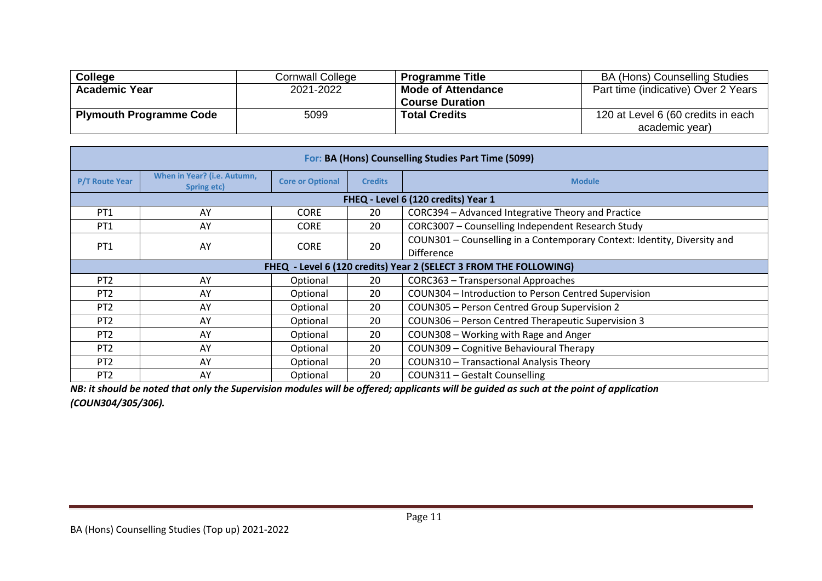| <b>College</b>                 | Cornwall College | <b>Programme Title</b>    | <b>BA (Hons) Counselling Studies</b> |
|--------------------------------|------------------|---------------------------|--------------------------------------|
| <b>Academic Year</b>           | 2021-2022        | <b>Mode of Attendance</b> | Part time (indicative) Over 2 Years  |
|                                |                  | <b>Course Duration</b>    |                                      |
| <b>Plymouth Programme Code</b> | 5099             | <b>Total Credits</b>      | 120 at Level 6 (60 credits in each   |
|                                |                  |                           | academic year)                       |

|                       | For: BA (Hons) Counselling Studies Part Time (5099) |                         |                |                                                                                               |  |  |  |  |  |  |
|-----------------------|-----------------------------------------------------|-------------------------|----------------|-----------------------------------------------------------------------------------------------|--|--|--|--|--|--|
| <b>P/T Route Year</b> | When in Year? (i.e. Autumn,<br>Spring etc)          | <b>Core or Optional</b> | <b>Credits</b> | <b>Module</b>                                                                                 |  |  |  |  |  |  |
|                       | FHEQ - Level 6 (120 credits) Year 1                 |                         |                |                                                                                               |  |  |  |  |  |  |
| PT <sub>1</sub>       | AY                                                  | <b>CORE</b>             | 20             | CORC394 - Advanced Integrative Theory and Practice                                            |  |  |  |  |  |  |
| PT <sub>1</sub>       | AY                                                  | <b>CORE</b>             | 20             | CORC3007 - Counselling Independent Research Study                                             |  |  |  |  |  |  |
| PT <sub>1</sub>       | AY                                                  | <b>CORE</b>             | 20             | COUN301 - Counselling in a Contemporary Context: Identity, Diversity and<br><b>Difference</b> |  |  |  |  |  |  |
|                       |                                                     |                         |                | FHEQ - Level 6 (120 credits) Year 2 (SELECT 3 FROM THE FOLLOWING)                             |  |  |  |  |  |  |
| PT <sub>2</sub>       | AY                                                  | Optional                | 20             | CORC363 - Transpersonal Approaches                                                            |  |  |  |  |  |  |
| PT <sub>2</sub>       | AY                                                  | Optional                | 20             | COUN304 - Introduction to Person Centred Supervision                                          |  |  |  |  |  |  |
| PT <sub>2</sub>       | AY                                                  | Optional                | 20             | COUN305 - Person Centred Group Supervision 2                                                  |  |  |  |  |  |  |
| PT <sub>2</sub>       | AY                                                  | Optional                | 20             | COUN306 - Person Centred Therapeutic Supervision 3                                            |  |  |  |  |  |  |
| PT <sub>2</sub>       | AY                                                  | Optional                | 20             | COUN308 - Working with Rage and Anger                                                         |  |  |  |  |  |  |
| PT <sub>2</sub>       | AY                                                  | Optional                | 20             | COUN309 - Cognitive Behavioural Therapy                                                       |  |  |  |  |  |  |
| PT <sub>2</sub>       | AY                                                  | Optional                | 20             | COUN310 - Transactional Analysis Theory                                                       |  |  |  |  |  |  |
| PT <sub>2</sub>       | AY                                                  | Optional                | 20             | COUN311 - Gestalt Counselling                                                                 |  |  |  |  |  |  |

*NB: it should be noted that only the Supervision modules will be offered; applicants will be guided as such at the point of application (COUN304/305/306).*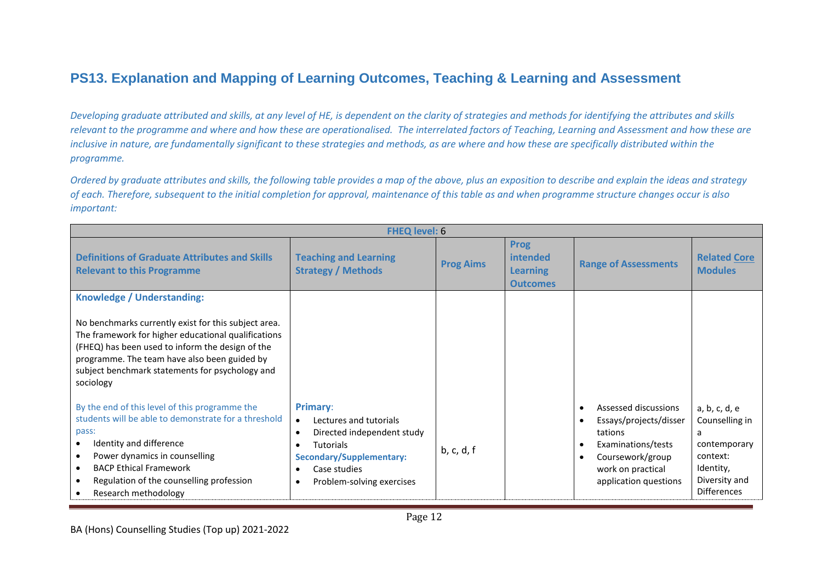## **PS13. Explanation and Mapping of Learning Outcomes, Teaching & Learning and Assessment**

*Developing graduate attributed and skills, at any level of HE, is dependent on the clarity of strategies and methods for identifying the attributes and skills relevant to the programme and where and how these are operationalised. The interrelated factors of Teaching, Learning and Assessment and how these are inclusive in nature, are fundamentally significant to these strategies and methods, as are where and how these are specifically distributed within the programme.* 

*Ordered by graduate attributes and skills, the following table provides a map of the above, plus an exposition to describe and explain the ideas and strategy of each. Therefore, subsequent to the initial completion for approval, maintenance of this table as and when programme structure changes occur is also important:*

|                                                                                                                                                                                                                                                                                               | <b>FHEQ level: 6</b>                                                                                                                                                                                                                 |                  |                                                               |                                                                                                                                                   |                                                                                                                      |  |
|-----------------------------------------------------------------------------------------------------------------------------------------------------------------------------------------------------------------------------------------------------------------------------------------------|--------------------------------------------------------------------------------------------------------------------------------------------------------------------------------------------------------------------------------------|------------------|---------------------------------------------------------------|---------------------------------------------------------------------------------------------------------------------------------------------------|----------------------------------------------------------------------------------------------------------------------|--|
| <b>Definitions of Graduate Attributes and Skills</b><br><b>Relevant to this Programme</b>                                                                                                                                                                                                     | <b>Teaching and Learning</b><br><b>Strategy / Methods</b>                                                                                                                                                                            | <b>Prog Aims</b> | <b>Prog</b><br>intended<br><b>Learning</b><br><b>Outcomes</b> | <b>Range of Assessments</b>                                                                                                                       | <b>Related Core</b><br><b>Modules</b>                                                                                |  |
| Knowledge / Understanding:                                                                                                                                                                                                                                                                    |                                                                                                                                                                                                                                      |                  |                                                               |                                                                                                                                                   |                                                                                                                      |  |
| No benchmarks currently exist for this subject area.<br>The framework for higher educational qualifications<br>(FHEQ) has been used to inform the design of the<br>programme. The team have also been guided by<br>subject benchmark statements for psychology and<br>sociology               |                                                                                                                                                                                                                                      |                  |                                                               |                                                                                                                                                   |                                                                                                                      |  |
| By the end of this level of this programme the<br>students will be able to demonstrate for a threshold<br>pass:<br>Identity and difference<br>Power dynamics in counselling<br><b>BACP Ethical Framework</b><br>$\bullet$<br>Regulation of the counselling profession<br>Research methodology | <b>Primary:</b><br>Lectures and tutorials<br>$\bullet$<br>Directed independent study<br>$\bullet$<br><b>Tutorials</b><br>$\bullet$<br><b>Secondary/Supplementary:</b><br>Case studies<br>$\bullet$<br>Problem-solving exercises<br>٠ | b, c, d, f       |                                                               | Assessed discussions<br>Essays/projects/disser<br>tations<br>Examinations/tests<br>Coursework/group<br>work on practical<br>application questions | a, b, c, d, e<br>Counselling in<br>a<br>contemporary<br>context:<br>Identity,<br>Diversity and<br><b>Differences</b> |  |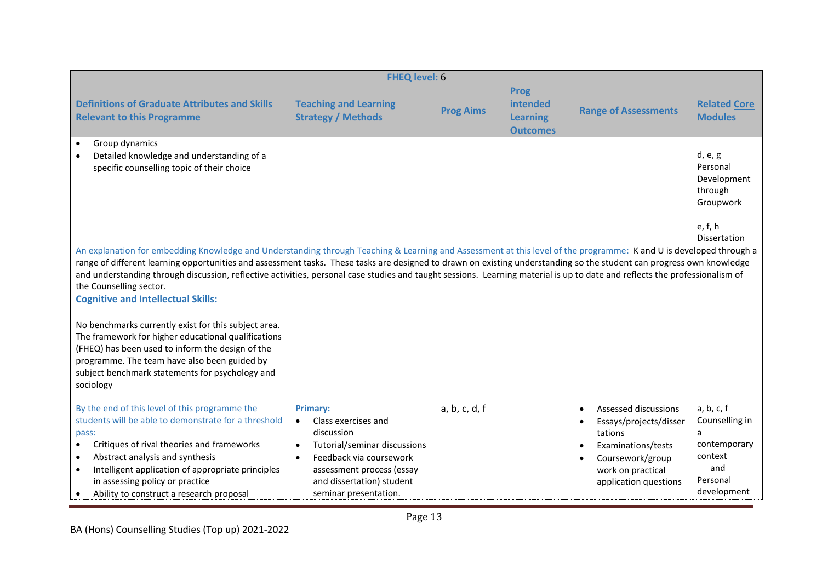|                                                                                                                                                                                                                                                                                                                                                                                                                                                                                                                                                                                                                                                                                                             | <b>FHEQ level: 6</b>                                                                                                                                                                                                         |                  |                                                               |                                                                                                                                                                |                                                                                                |
|-------------------------------------------------------------------------------------------------------------------------------------------------------------------------------------------------------------------------------------------------------------------------------------------------------------------------------------------------------------------------------------------------------------------------------------------------------------------------------------------------------------------------------------------------------------------------------------------------------------------------------------------------------------------------------------------------------------|------------------------------------------------------------------------------------------------------------------------------------------------------------------------------------------------------------------------------|------------------|---------------------------------------------------------------|----------------------------------------------------------------------------------------------------------------------------------------------------------------|------------------------------------------------------------------------------------------------|
| <b>Definitions of Graduate Attributes and Skills</b><br><b>Relevant to this Programme</b>                                                                                                                                                                                                                                                                                                                                                                                                                                                                                                                                                                                                                   | <b>Teaching and Learning</b><br><b>Strategy / Methods</b>                                                                                                                                                                    | <b>Prog Aims</b> | <b>Prog</b><br>intended<br><b>Learning</b><br><b>Outcomes</b> | <b>Range of Assessments</b>                                                                                                                                    | <b>Related Core</b><br><b>Modules</b>                                                          |
| Group dynamics<br>Detailed knowledge and understanding of a<br>specific counselling topic of their choice                                                                                                                                                                                                                                                                                                                                                                                                                                                                                                                                                                                                   |                                                                                                                                                                                                                              |                  |                                                               |                                                                                                                                                                | d, e, g<br>Personal<br>Development<br>through<br>Groupwork<br>e, f, h<br>Dissertation          |
| An explanation for embedding Knowledge and Understanding through Teaching & Learning and Assessment at this level of the programme: K and U is developed through a<br>range of different learning opportunities and assessment tasks. These tasks are designed to drawn on existing understanding so the student can progress own knowledge<br>and understanding through discussion, reflective activities, personal case studies and taught sessions. Learning material is up to date and reflects the professionalism of<br>the Counselling sector.                                                                                                                                                       |                                                                                                                                                                                                                              |                  |                                                               |                                                                                                                                                                |                                                                                                |
| <b>Cognitive and Intellectual Skills:</b><br>No benchmarks currently exist for this subject area.<br>The framework for higher educational qualifications<br>(FHEQ) has been used to inform the design of the<br>programme. The team have also been guided by<br>subject benchmark statements for psychology and<br>sociology<br>By the end of this level of this programme the<br>students will be able to demonstrate for a threshold<br>pass:<br>Critiques of rival theories and frameworks<br>$\bullet$<br>Abstract analysis and synthesis<br>$\bullet$<br>Intelligent application of appropriate principles<br>$\bullet$<br>in assessing policy or practice<br>Ability to construct a research proposal | <b>Primary:</b><br>Class exercises and<br>discussion<br>Tutorial/seminar discussions<br>$\bullet$<br>Feedback via coursework<br>$\bullet$<br>assessment process (essay<br>and dissertation) student<br>seminar presentation. | a, b, c, d, f    |                                                               | Assessed discussions<br>$\bullet$<br>Essays/projects/disser<br>tations<br>Examinations/tests<br>Coursework/group<br>work on practical<br>application questions | a, b, c, f<br>Counselling in<br>a<br>contemporary<br>context<br>and<br>Personal<br>development |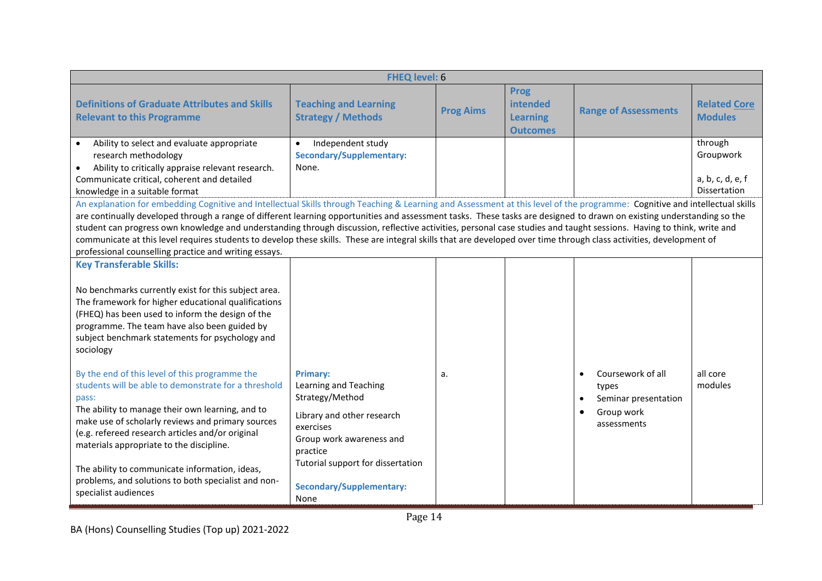| <b>FHEQ level: 6</b>                                                                                                                                                                                                                                                                                                                                                                                                                                                                                                                                                                                                                                                                                                                                                                                                                                                                                                                                                                     |                                                                                                                                                                                     |                  |                                                               |                                                                                              |                                                          |  |
|------------------------------------------------------------------------------------------------------------------------------------------------------------------------------------------------------------------------------------------------------------------------------------------------------------------------------------------------------------------------------------------------------------------------------------------------------------------------------------------------------------------------------------------------------------------------------------------------------------------------------------------------------------------------------------------------------------------------------------------------------------------------------------------------------------------------------------------------------------------------------------------------------------------------------------------------------------------------------------------|-------------------------------------------------------------------------------------------------------------------------------------------------------------------------------------|------------------|---------------------------------------------------------------|----------------------------------------------------------------------------------------------|----------------------------------------------------------|--|
| <b>Definitions of Graduate Attributes and Skills</b><br><b>Relevant to this Programme</b>                                                                                                                                                                                                                                                                                                                                                                                                                                                                                                                                                                                                                                                                                                                                                                                                                                                                                                | <b>Teaching and Learning</b><br><b>Strategy / Methods</b>                                                                                                                           | <b>Prog Aims</b> | <b>Prog</b><br>intended<br><b>Learning</b><br><b>Outcomes</b> | <b>Range of Assessments</b>                                                                  | <b>Related Core</b><br><b>Modules</b>                    |  |
| Ability to select and evaluate appropriate<br>research methodology<br>Ability to critically appraise relevant research.<br>$\bullet$<br>Communicate critical, coherent and detailed<br>knowledge in a suitable format<br>An explanation for embedding Cognitive and Intellectual Skills through Teaching & Learning and Assessment at this level of the programme: Cognitive and intellectual skills<br>are continually developed through a range of different learning opportunities and assessment tasks. These tasks are designed to drawn on existing understanding so the<br>student can progress own knowledge and understanding through discussion, reflective activities, personal case studies and taught sessions. Having to think, write and<br>communicate at this level requires students to develop these skills. These are integral skills that are developed over time through class activities, development of<br>professional counselling practice and writing essays. | Independent study<br>$\bullet$<br><b>Secondary/Supplementary:</b><br>None.                                                                                                          |                  |                                                               |                                                                                              | through<br>Groupwork<br>a, b, c, d, e, f<br>Dissertation |  |
| <b>Key Transferable Skills:</b><br>No benchmarks currently exist for this subject area.<br>The framework for higher educational qualifications<br>(FHEQ) has been used to inform the design of the<br>programme. The team have also been guided by<br>subject benchmark statements for psychology and<br>sociology<br>By the end of this level of this programme the<br>students will be able to demonstrate for a threshold<br>pass:<br>The ability to manage their own learning, and to<br>make use of scholarly reviews and primary sources<br>(e.g. refereed research articles and/or original<br>materials appropriate to the discipline.<br>The ability to communicate information, ideas,<br>problems, and solutions to both specialist and non-                                                                                                                                                                                                                                  | <b>Primary:</b><br>Learning and Teaching<br>Strategy/Method<br>Library and other research<br>exercises<br>Group work awareness and<br>practice<br>Tutorial support for dissertation | a.               |                                                               | Coursework of all<br>types<br>Seminar presentation<br>Group work<br>$\bullet$<br>assessments | all core<br>modules                                      |  |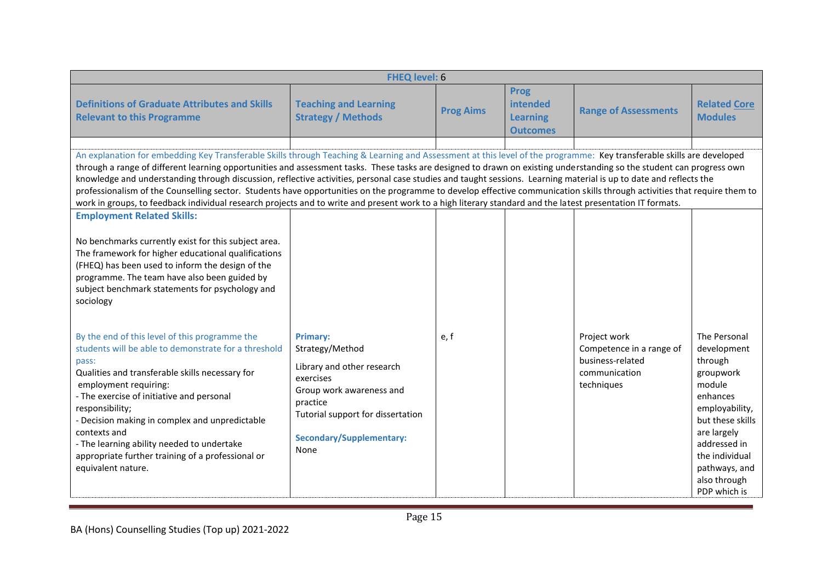|                                                                                                                                                                                                                                                                                                                                                                                                                                                                                                                                                                                                                                                                                                                                                                                                                                                                 | <b>FHEQ level: 6</b>                                                                                                                                                                                  |                  |                                                                      |                                                                                             |                                                                                                                                                                                                                   |  |  |
|-----------------------------------------------------------------------------------------------------------------------------------------------------------------------------------------------------------------------------------------------------------------------------------------------------------------------------------------------------------------------------------------------------------------------------------------------------------------------------------------------------------------------------------------------------------------------------------------------------------------------------------------------------------------------------------------------------------------------------------------------------------------------------------------------------------------------------------------------------------------|-------------------------------------------------------------------------------------------------------------------------------------------------------------------------------------------------------|------------------|----------------------------------------------------------------------|---------------------------------------------------------------------------------------------|-------------------------------------------------------------------------------------------------------------------------------------------------------------------------------------------------------------------|--|--|
| <b>Definitions of Graduate Attributes and Skills</b><br><b>Relevant to this Programme</b>                                                                                                                                                                                                                                                                                                                                                                                                                                                                                                                                                                                                                                                                                                                                                                       | <b>Teaching and Learning</b><br><b>Strategy / Methods</b>                                                                                                                                             | <b>Prog Aims</b> | <b>Prog</b><br><b>intended</b><br><b>Learning</b><br><b>Outcomes</b> | <b>Range of Assessments</b>                                                                 | <b>Related Core</b><br><b>Modules</b>                                                                                                                                                                             |  |  |
| An explanation for embedding Key Transferable Skills through Teaching & Learning and Assessment at this level of the programme: Key transferable skills are developed<br>through a range of different learning opportunities and assessment tasks. These tasks are designed to drawn on existing understanding so the student can progress own<br>knowledge and understanding through discussion, reflective activities, personal case studies and taught sessions. Learning material is up to date and reflects the<br>professionalism of the Counselling sector. Students have opportunities on the programme to develop effective communication skills through activities that require them to<br>work in groups, to feedback individual research projects and to write and present work to a high literary standard and the latest presentation IT formats. |                                                                                                                                                                                                       |                  |                                                                      |                                                                                             |                                                                                                                                                                                                                   |  |  |
| <b>Employment Related Skills:</b><br>No benchmarks currently exist for this subject area.<br>The framework for higher educational qualifications<br>(FHEQ) has been used to inform the design of the<br>programme. The team have also been guided by<br>subject benchmark statements for psychology and<br>sociology                                                                                                                                                                                                                                                                                                                                                                                                                                                                                                                                            |                                                                                                                                                                                                       |                  |                                                                      |                                                                                             |                                                                                                                                                                                                                   |  |  |
| By the end of this level of this programme the<br>students will be able to demonstrate for a threshold<br>pass:<br>Qualities and transferable skills necessary for<br>employment requiring:<br>- The exercise of initiative and personal<br>responsibility;<br>- Decision making in complex and unpredictable<br>contexts and<br>- The learning ability needed to undertake<br>appropriate further training of a professional or<br>equivalent nature.                                                                                                                                                                                                                                                                                                                                                                                                          | <b>Primary:</b><br>Strategy/Method<br>Library and other research<br>exercises<br>Group work awareness and<br>practice<br>Tutorial support for dissertation<br><b>Secondary/Supplementary:</b><br>None | e.f              |                                                                      | Project work<br>Competence in a range of<br>business-related<br>communication<br>techniques | The Personal<br>development<br>through<br>groupwork<br>module<br>enhances<br>employability,<br>but these skills<br>are largely<br>addressed in<br>the individual<br>pathways, and<br>also through<br>PDP which is |  |  |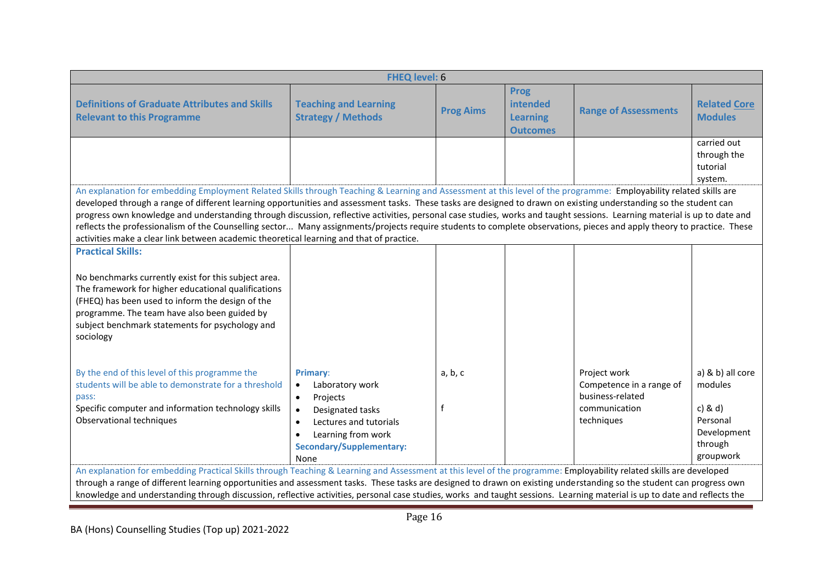|                                                                                                                                                                                                                                                                                                                                                                                                                                                                                                                                                                                                                                                                                                                                                                                             | <b>FHEQ level: 6</b>                                                                                                                                                        |                  |                                                               |                                                 |                                                                |  |
|---------------------------------------------------------------------------------------------------------------------------------------------------------------------------------------------------------------------------------------------------------------------------------------------------------------------------------------------------------------------------------------------------------------------------------------------------------------------------------------------------------------------------------------------------------------------------------------------------------------------------------------------------------------------------------------------------------------------------------------------------------------------------------------------|-----------------------------------------------------------------------------------------------------------------------------------------------------------------------------|------------------|---------------------------------------------------------------|-------------------------------------------------|----------------------------------------------------------------|--|
| <b>Definitions of Graduate Attributes and Skills</b><br><b>Relevant to this Programme</b>                                                                                                                                                                                                                                                                                                                                                                                                                                                                                                                                                                                                                                                                                                   | <b>Teaching and Learning</b><br><b>Strategy / Methods</b>                                                                                                                   | <b>Prog Aims</b> | <b>Prog</b><br>intended<br><b>Learning</b><br><b>Outcomes</b> | <b>Range of Assessments</b>                     | <b>Related Core</b><br><b>Modules</b>                          |  |
|                                                                                                                                                                                                                                                                                                                                                                                                                                                                                                                                                                                                                                                                                                                                                                                             |                                                                                                                                                                             |                  |                                                               |                                                 | carried out<br>through the<br>tutorial<br>system.              |  |
| An explanation for embedding Employment Related Skills through Teaching & Learning and Assessment at this level of the programme: Employability related skills are<br>developed through a range of different learning opportunities and assessment tasks. These tasks are designed to drawn on existing understanding so the student can<br>progress own knowledge and understanding through discussion, reflective activities, personal case studies, works and taught sessions. Learning material is up to date and<br>reflects the professionalism of the Counselling sector Many assignments/projects require students to complete observations, pieces and apply theory to practice. These<br>activities make a clear link between academic theoretical learning and that of practice. |                                                                                                                                                                             |                  |                                                               |                                                 |                                                                |  |
| <b>Practical Skills:</b><br>No benchmarks currently exist for this subject area.<br>The framework for higher educational qualifications<br>(FHEQ) has been used to inform the design of the<br>programme. The team have also been guided by<br>subject benchmark statements for psychology and<br>sociology<br>By the end of this level of this programme the<br>students will be able to demonstrate for a threshold                                                                                                                                                                                                                                                                                                                                                                       | Primary:<br>Laboratory work<br>$\bullet$                                                                                                                                    | a, b, c          |                                                               | Project work<br>Competence in a range of        | a) & b) all core<br>modules                                    |  |
| pass:<br>Specific computer and information technology skills<br>Observational techniques                                                                                                                                                                                                                                                                                                                                                                                                                                                                                                                                                                                                                                                                                                    | Projects<br>$\bullet$<br>Designated tasks<br>$\bullet$<br>Lectures and tutorials<br>$\bullet$<br>Learning from work<br>$\bullet$<br><b>Secondary/Supplementary:</b><br>None | f                |                                                               | business-related<br>communication<br>techniques | $c)$ & $d)$<br>Personal<br>Development<br>through<br>groupwork |  |
| An explanation for embedding Practical Skills through Teaching & Learning and Assessment at this level of the programme: Employability related skills are developed<br>through a range of different learning opportunities and assessment tasks. These tasks are designed to drawn on existing understanding so the student can progress own<br>knowledge and understanding through discussion, reflective activities, personal case studies, works and taught sessions. Learning material is up to date and reflects the                                                                                                                                                                                                                                                                   |                                                                                                                                                                             |                  |                                                               |                                                 |                                                                |  |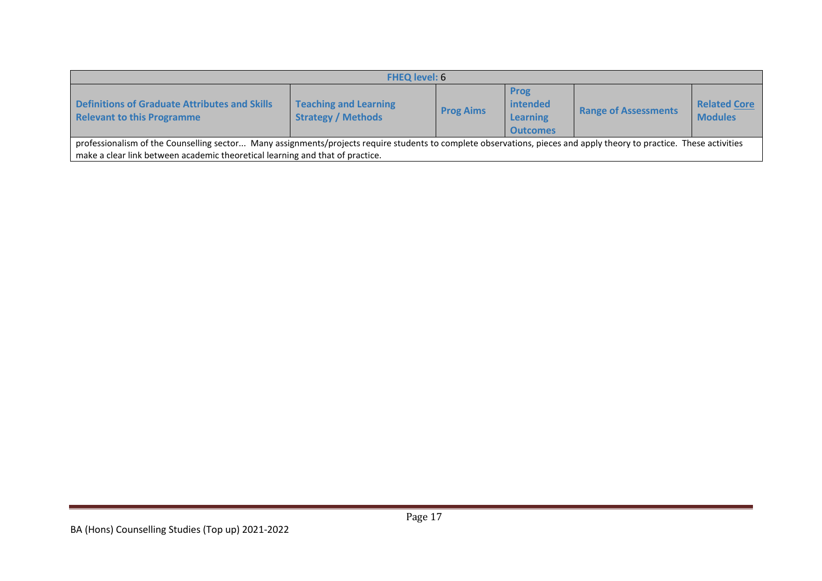| <b>FHEQ level: 6</b>                                                                                                                                                                                                                                  |                                                           |                  |                                                               |                             |                                       |  |  |  |
|-------------------------------------------------------------------------------------------------------------------------------------------------------------------------------------------------------------------------------------------------------|-----------------------------------------------------------|------------------|---------------------------------------------------------------|-----------------------------|---------------------------------------|--|--|--|
| <b>Definitions of Graduate Attributes and Skills</b><br><b>Relevant to this Programme</b>                                                                                                                                                             | <b>Teaching and Learning</b><br><b>Strategy / Methods</b> | <b>Prog Aims</b> | <b>Prog</b><br>intended<br><b>Learning</b><br><b>Outcomes</b> | <b>Range of Assessments</b> | <b>Related Core</b><br><b>Modules</b> |  |  |  |
| professionalism of the Counselling sector Many assignments/projects require students to complete observations, pieces and apply theory to practice. These activities<br>make a clear link between academic theoretical learning and that of practice. |                                                           |                  |                                                               |                             |                                       |  |  |  |